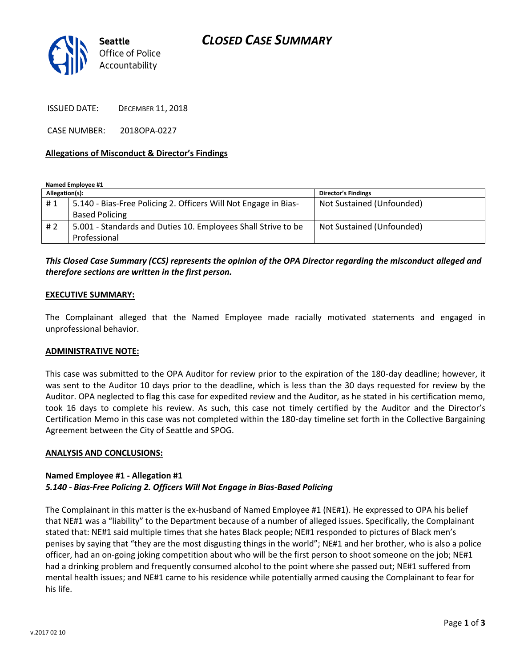



ISSUED DATE: DECEMBER 11, 2018

CASE NUMBER: 2018OPA-0227

### **Allegations of Misconduct & Director's Findings**

**Named Employee #1**

| Allegation(s): |                                                                 | <b>Director's Findings</b> |
|----------------|-----------------------------------------------------------------|----------------------------|
| #1             | 5.140 - Bias-Free Policing 2. Officers Will Not Engage in Bias- | Not Sustained (Unfounded)  |
|                | <b>Based Policing</b>                                           |                            |
| #2             | 5.001 - Standards and Duties 10. Employees Shall Strive to be   | Not Sustained (Unfounded)  |
|                | Professional                                                    |                            |

## *This Closed Case Summary (CCS) represents the opinion of the OPA Director regarding the misconduct alleged and therefore sections are written in the first person.*

#### **EXECUTIVE SUMMARY:**

The Complainant alleged that the Named Employee made racially motivated statements and engaged in unprofessional behavior.

#### **ADMINISTRATIVE NOTE:**

This case was submitted to the OPA Auditor for review prior to the expiration of the 180-day deadline; however, it was sent to the Auditor 10 days prior to the deadline, which is less than the 30 days requested for review by the Auditor. OPA neglected to flag this case for expedited review and the Auditor, as he stated in his certification memo, took 16 days to complete his review. As such, this case not timely certified by the Auditor and the Director's Certification Memo in this case was not completed within the 180-day timeline set forth in the Collective Bargaining Agreement between the City of Seattle and SPOG.

### **ANALYSIS AND CONCLUSIONS:**

## **Named Employee #1 - Allegation #1** *5.140 - Bias-Free Policing 2. Officers Will Not Engage in Bias-Based Policing*

The Complainant in this matter is the ex-husband of Named Employee #1 (NE#1). He expressed to OPA his belief that NE#1 was a "liability" to the Department because of a number of alleged issues. Specifically, the Complainant stated that: NE#1 said multiple times that she hates Black people; NE#1 responded to pictures of Black men's penises by saying that "they are the most disgusting things in the world"; NE#1 and her brother, who is also a police officer, had an on-going joking competition about who will be the first person to shoot someone on the job; NE#1 had a drinking problem and frequently consumed alcohol to the point where she passed out; NE#1 suffered from mental health issues; and NE#1 came to his residence while potentially armed causing the Complainant to fear for his life.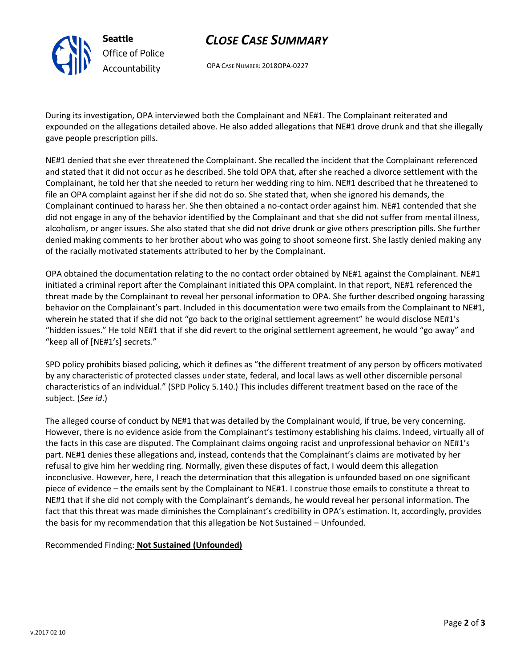

# *CLOSE CASE SUMMARY*

OPA CASE NUMBER: 2018OPA-0227

During its investigation, OPA interviewed both the Complainant and NE#1. The Complainant reiterated and expounded on the allegations detailed above. He also added allegations that NE#1 drove drunk and that she illegally gave people prescription pills.

NE#1 denied that she ever threatened the Complainant. She recalled the incident that the Complainant referenced and stated that it did not occur as he described. She told OPA that, after she reached a divorce settlement with the Complainant, he told her that she needed to return her wedding ring to him. NE#1 described that he threatened to file an OPA complaint against her if she did not do so. She stated that, when she ignored his demands, the Complainant continued to harass her. She then obtained a no-contact order against him. NE#1 contended that she did not engage in any of the behavior identified by the Complainant and that she did not suffer from mental illness, alcoholism, or anger issues. She also stated that she did not drive drunk or give others prescription pills. She further denied making comments to her brother about who was going to shoot someone first. She lastly denied making any of the racially motivated statements attributed to her by the Complainant.

OPA obtained the documentation relating to the no contact order obtained by NE#1 against the Complainant. NE#1 initiated a criminal report after the Complainant initiated this OPA complaint. In that report, NE#1 referenced the threat made by the Complainant to reveal her personal information to OPA. She further described ongoing harassing behavior on the Complainant's part. Included in this documentation were two emails from the Complainant to NE#1, wherein he stated that if she did not "go back to the original settlement agreement" he would disclose NE#1's "hidden issues." He told NE#1 that if she did revert to the original settlement agreement, he would "go away" and "keep all of [NE#1's] secrets."

SPD policy prohibits biased policing, which it defines as "the different treatment of any person by officers motivated by any characteristic of protected classes under state, federal, and local laws as well other discernible personal characteristics of an individual." (SPD Policy 5.140.) This includes different treatment based on the race of the subject. (*See id*.)

The alleged course of conduct by NE#1 that was detailed by the Complainant would, if true, be very concerning. However, there is no evidence aside from the Complainant's testimony establishing his claims. Indeed, virtually all of the facts in this case are disputed. The Complainant claims ongoing racist and unprofessional behavior on NE#1's part. NE#1 denies these allegations and, instead, contends that the Complainant's claims are motivated by her refusal to give him her wedding ring. Normally, given these disputes of fact, I would deem this allegation inconclusive. However, here, I reach the determination that this allegation is unfounded based on one significant piece of evidence – the emails sent by the Complainant to NE#1. I construe those emails to constitute a threat to NE#1 that if she did not comply with the Complainant's demands, he would reveal her personal information. The fact that this threat was made diminishes the Complainant's credibility in OPA's estimation. It, accordingly, provides the basis for my recommendation that this allegation be Not Sustained – Unfounded.

Recommended Finding: **Not Sustained (Unfounded)**